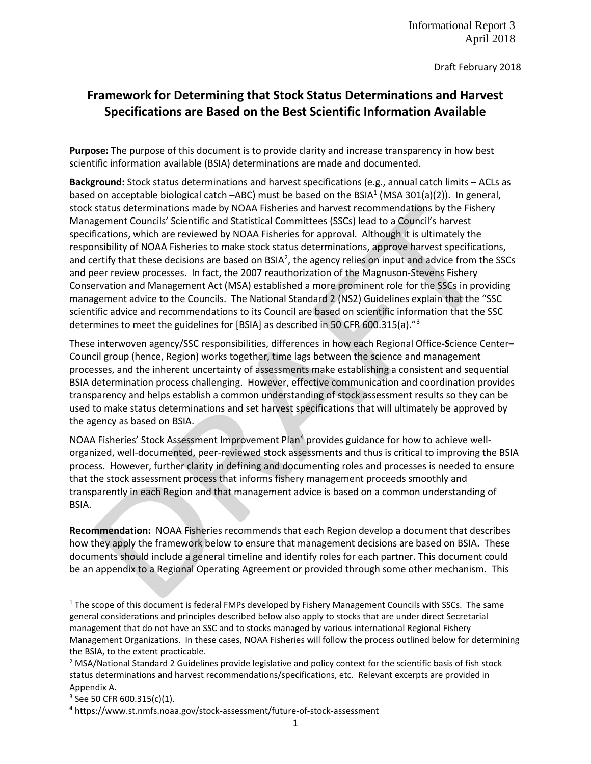Draft February 2018

# **Framework for Determining that Stock Status Determinations and Harvest Specifications are Based on the Best Scientific Information Available**

**Purpose:** The purpose of this document is to provide clarity and increase transparency in how best scientific information available (BSIA) determinations are made and documented.

**Background:** Stock status determinations and harvest specifications (e.g., annual catch limits – ACLs as based on acceptable biological catch –ABC) must be based on the BSIA<sup>1</sup> (MSA 301(a)(2)). In general, stock status determinations made by NOAA Fisheries and harvest recommendations by the Fishery Management Councils' Scientific and Statistical Committees (SSCs) lead to a Council's harvest specifications, which are reviewed by NOAA Fisheries for approval. Although it is ultimately the responsibility of NOAA Fisheries to make stock status determinations, approve harvest specifications, and certify that these decisions are based on BSIA<sup>[2](#page-0-1)</sup>, the agency relies on input and advice from the SSCs and peer review processes. In fact, the 2007 reauthorization of the Magnuson-Stevens Fishery Conservation and Management Act (MSA) established a more prominent role for the SSCs in providing management advice to the Councils. The National Standard 2 (NS2) Guidelines explain that the "SSC scientific advice and recommendations to its Council are based on scientific information that the SSC determines to meet the guidelines for [BSIA] as described in 50 CFR 600.315(a)."[3](#page-0-2)

These interwoven agency/SSC responsibilities, differences in how each Regional Office**-S**cience Center**–** Council group (hence, Region) works together, time lags between the science and management processes, and the inherent uncertainty of assessments make establishing a consistent and sequential BSIA determination process challenging. However, effective communication and coordination provides transparency and helps establish a common understanding of stock assessment results so they can be used to make status determinations and set harvest specifications that will ultimately be approved by the agency as based on BSIA.

NOAA Fisheries' Stock Assessment Improvement Plan<sup>4</sup> provides guidance for how to achieve wellorganized, well-documented, peer-reviewed stock assessments and thus is critical to improving the BSIA process. However, further clarity in defining and documenting roles and processes is needed to ensure that the stock assessment process that informs fishery management proceeds smoothly and transparently in each Region and that management advice is based on a common understanding of BSIA.

**Recommendation:** NOAA Fisheries recommends that each Region develop a document that describes how they apply the framework below to ensure that management decisions are based on BSIA. These documents should include a general timeline and identify roles for each partner. This document could be an appendix to a Regional Operating Agreement or provided through some other mechanism. This

<span id="page-0-0"></span> $1$  The scope of this document is federal FMPs developed by Fishery Management Councils with SSCs. The same general considerations and principles described below also apply to stocks that are under direct Secretarial management that do not have an SSC and to stocks managed by various international Regional Fishery Management Organizations. In these cases, NOAA Fisheries will follow the process outlined below for determining the BSIA, to the extent practicable.

<span id="page-0-1"></span><sup>&</sup>lt;sup>2</sup> MSA/National Standard 2 Guidelines provide legislative and policy context for the scientific basis of fish stock status determinations and harvest recommendations/specifications, etc. Relevant excerpts are provided in Appendix A.

<span id="page-0-2"></span> $3$  See 50 CFR 600.315(c)(1).

<span id="page-0-3"></span><sup>4</sup> https://www.st.nmfs.noaa.gov/stock-assessment/future-of-stock-assessment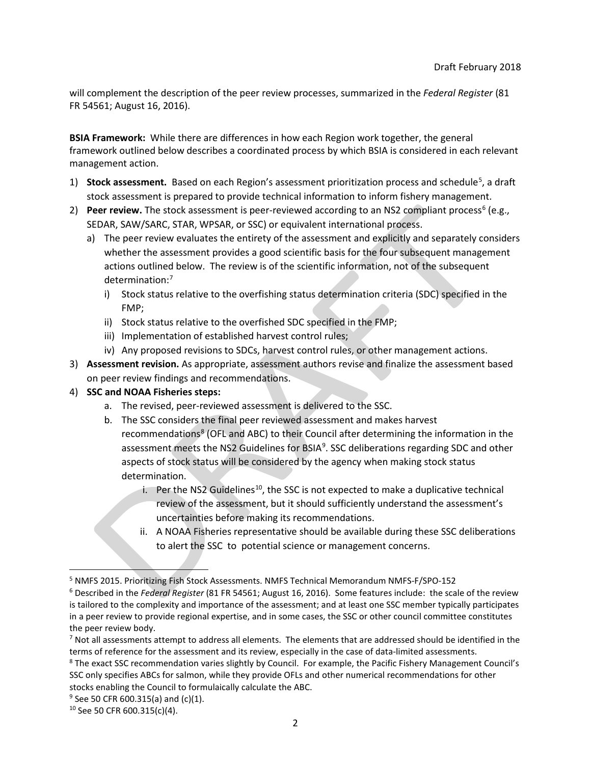will complement the description of the peer review processes, summarized in the *Federal Register* (81 FR 54561; August 16, 2016).

**BSIA Framework:** While there are differences in how each Region work together, the general framework outlined below describes a coordinated process by which BSIA is considered in each relevant management action.

- 1) **Stock assessment.** Based on each Region's assessment prioritization process and schedule<sup>[5](#page-1-0)</sup>, a draft stock assessment is prepared to provide technical information to inform fishery management.
- 2) **Peer review.** The stock assessment is peer-reviewed according to an NS2 compliant process<sup>[6](#page-1-1)</sup> (e.g., SEDAR, SAW/SARC, STAR, WPSAR, or SSC) or equivalent international process.
	- a) The peer review evaluates the entirety of the assessment and explicitly and separately considers whether the assessment provides a good scientific basis for the four subsequent management actions outlined below. The review is of the scientific information, not of the subsequent determination: [7](#page-1-2)
		- i) Stock status relative to the overfishing status determination criteria (SDC) specified in the FMP;
		- ii) Stock status relative to the overfished SDC specified in the FMP;
		- iii) Implementation of established harvest control rules;
		- iv) Any proposed revisions to SDCs, harvest control rules, or other management actions.
- 3) **Assessment revision.** As appropriate, assessment authors revise and finalize the assessment based on peer review findings and recommendations.

## 4) **SSC and NOAA Fisheries steps:**

- a. The revised, peer-reviewed assessment is delivered to the SSC.
- b. The SSC considers the final peer reviewed assessment and makes harvest recommendations<sup>[8](#page-1-3)</sup> (OFL and ABC) to their Council after determining the information in the assessment meets the NS2 Guidelines for BSIA<sup>[9](#page-1-4)</sup>. SSC deliberations regarding SDC and other aspects of stock status will be considered by the agency when making stock status determination.
	- i. Per the NS2 Guidelines<sup>10</sup>, the SSC is not expected to make a duplicative technical review of the assessment, but it should sufficiently understand the assessment's uncertainties before making its recommendations.
	- ii. A NOAA Fisheries representative should be available during these SSC deliberations to alert the SSC to potential science or management concerns.

<span id="page-1-0"></span> <sup>5</sup> NMFS 2015. Prioritizing Fish Stock Assessments. NMFS Technical Memorandum NMFS-F/SPO-152

<span id="page-1-1"></span><sup>6</sup> Described in the *Federal Register* (81 FR 54561; August 16, 2016). Some features include: the scale of the review is tailored to the complexity and importance of the assessment; and at least one SSC member typically participates in a peer review to provide regional expertise, and in some cases, the SSC or other council committee constitutes the peer review body.

<span id="page-1-2"></span> $<sup>7</sup>$  Not all assessments attempt to address all elements. The elements that are addressed should be identified in the</sup>

<span id="page-1-3"></span>terms of reference for the assessment and its review, especially in the case of data-limited assessments.<br><sup>8</sup> The exact SSC recommendation varies slightly by Council. For example, the Pacific Fishery Management Council's SSC only specifies ABCs for salmon, while they provide OFLs and other numerical recommendations for other stocks enabling the Council to formulaically calculate the ABC.<br><sup>9</sup> See 50 CFR 600.315(a) and (c)(1).

<span id="page-1-4"></span>

<span id="page-1-5"></span><sup>10</sup> See 50 CFR 600.315(c)(4).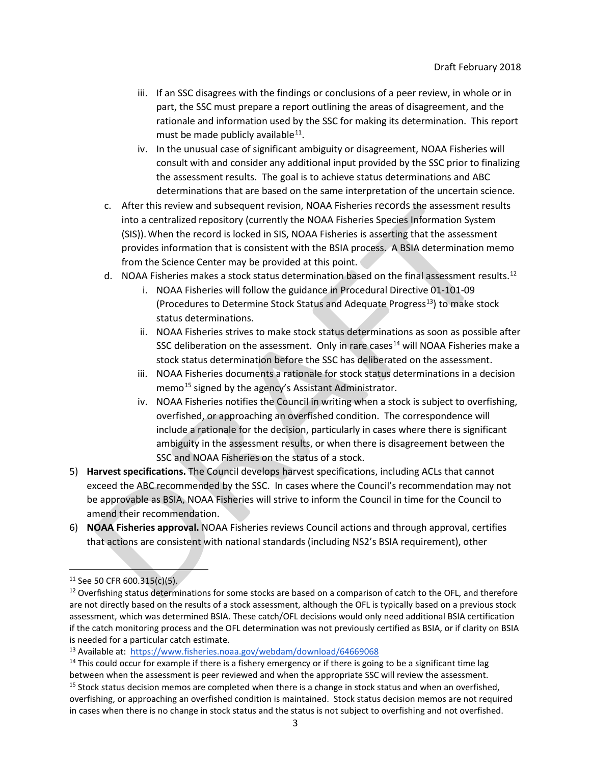- iii. If an SSC disagrees with the findings or conclusions of a peer review, in whole or in part, the SSC must prepare a report outlining the areas of disagreement, and the rationale and information used by the SSC for making its determination. This report must be made publicly available  $11$ .
- iv. In the unusual case of significant ambiguity or disagreement, NOAA Fisheries will consult with and consider any additional input provided by the SSC prior to finalizing the assessment results. The goal is to achieve status determinations and ABC determinations that are based on the same interpretation of the uncertain science.
- c. After this review and subsequent revision, NOAA Fisheries records the assessment results into a centralized repository (currently the NOAA Fisheries Species Information System (SIS)).When the record is locked in SIS, NOAA Fisheries is asserting that the assessment provides information that is consistent with the BSIA process. A BSIA determination memo from the Science Center may be provided at this point.
- d. NOAA Fisheries makes a stock status determination based on the final assessment results.<sup>[12](#page-2-1)</sup>
	- i. NOAA Fisheries will follow the guidance in Procedural Directive 01-101-09 (Procedures to Determine Stock Status and Adequate Progress $^{13}$ ) to make stock status determinations.
	- ii. NOAA Fisheries strives to make stock status determinations as soon as possible after SSC deliberation on the assessment. Only in rare cases<sup>[14](#page-2-3)</sup> will NOAA Fisheries make a stock status determination before the SSC has deliberated on the assessment.
	- iii. NOAA Fisheries documents a rationale for stock status determinations in a decision memo<sup>[15](#page-2-4)</sup> signed by the agency's Assistant Administrator.
	- iv. NOAA Fisheries notifies the Council in writing when a stock is subject to overfishing, overfished, or approaching an overfished condition. The correspondence will include a rationale for the decision, particularly in cases where there is significant ambiguity in the assessment results, or when there is disagreement between the SSC and NOAA Fisheries on the status of a stock.
- 5) **Harvest specifications.** The Council develops harvest specifications, including ACLs that cannot exceed the ABC recommended by the SSC. In cases where the Council's recommendation may not be approvable as BSIA, NOAA Fisheries will strive to inform the Council in time for the Council to amend their recommendation.
- 6) **NOAA Fisheries approval.** NOAA Fisheries reviews Council actions and through approval, certifies that actions are consistent with national standards (including NS2's BSIA requirement), other

<span id="page-2-0"></span> $11$  See 50 CFR 600.315(c)(5).

<span id="page-2-1"></span> $12$  Overfishing status determinations for some stocks are based on a comparison of catch to the OFL, and therefore are not directly based on the results of a stock assessment, although the OFL is typically based on a previous stock assessment, which was determined BSIA. These catch/OFL decisions would only need additional BSIA certification if the catch monitoring process and the OFL determination was not previously certified as BSIA, or if clarity on BSIA is needed for a particular catch estimate.

<span id="page-2-2"></span><sup>13</sup> Available at: <https://www.fisheries.noaa.gov/webdam/download/64669068>

<span id="page-2-4"></span><span id="page-2-3"></span> $14$  This could occur for example if there is a fishery emergency or if there is going to be a significant time lag between when the assessment is peer reviewed and when the appropriate SSC will review the assessment. <sup>15</sup> Stock status decision memos are completed when there is a change in stock status and when an overfished, overfishing, or approaching an overfished condition is maintained. Stock status decision memos are not required in cases when there is no change in stock status and the status is not subject to overfishing and not overfished.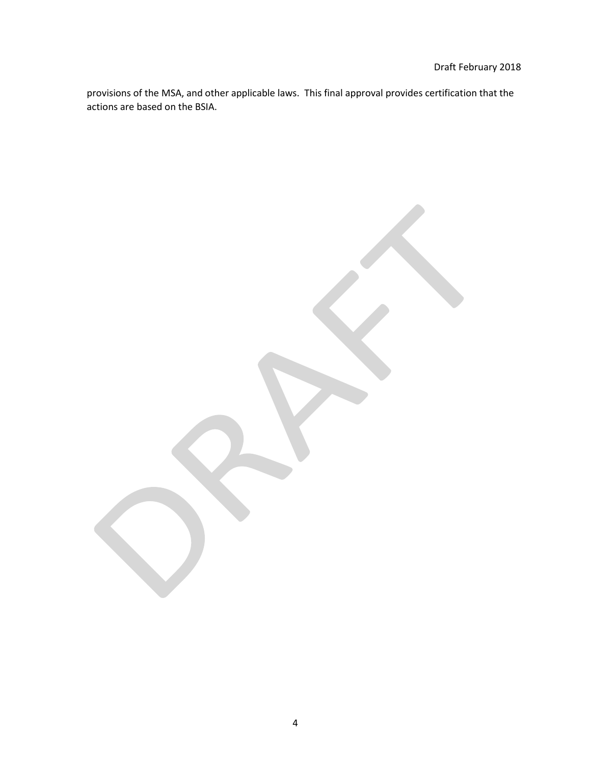provisions of the MSA, and other applicable laws. This final approval provides certification that the actions are based on the BSIA.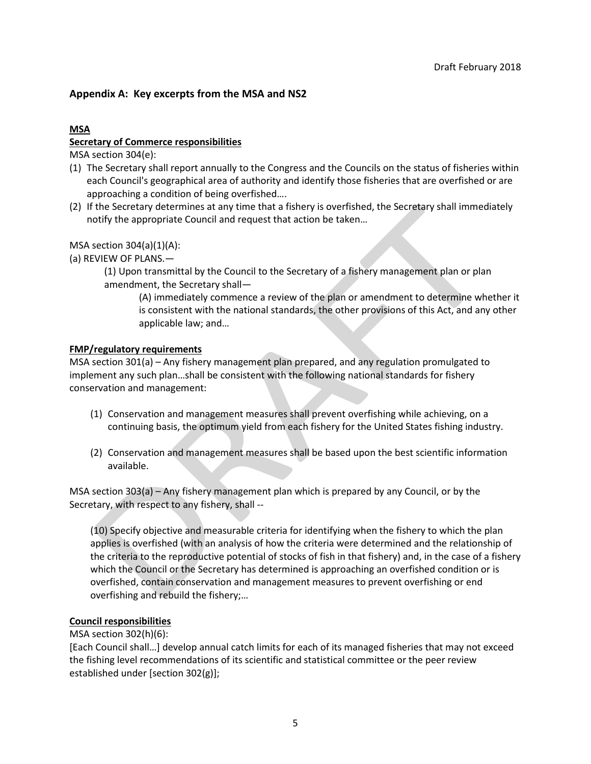# **Appendix A: Key excerpts from the MSA and NS2**

# **MSA**

## **Secretary of Commerce responsibilities**

MSA section 304(e):

- (1) The Secretary shall report annually to the Congress and the Councils on the status of fisheries within each Council's geographical area of authority and identify those fisheries that are overfished or are approaching a condition of being overfished….
- (2) If the Secretary determines at any time that a fishery is overfished, the Secretary shall immediately notify the appropriate Council and request that action be taken…

MSA section 304(a)(1)(A):

(a) REVIEW OF PLANS.—

(1) Upon transmittal by the Council to the Secretary of a fishery management plan or plan amendment, the Secretary shall—

(A) immediately commence a review of the plan or amendment to determine whether it is consistent with the national standards, the other provisions of this Act, and any other applicable law; and…

### **FMP/regulatory requirements**

MSA section 301(a) – Any fishery management plan prepared, and any regulation promulgated to implement any such plan…shall be consistent with the following national standards for fishery conservation and management:

- (1) Conservation and management measures shall prevent overfishing while achieving, on a continuing basis, the optimum yield from each fishery for the United States fishing industry.
- (2) Conservation and management measures shall be based upon the best scientific information available.

MSA section 303(a) – Any fishery management plan which is prepared by any Council, or by the Secretary, with respect to any fishery, shall --

(10) Specify objective and measurable criteria for identifying when the fishery to which the plan applies is overfished (with an analysis of how the criteria were determined and the relationship of the criteria to the reproductive potential of stocks of fish in that fishery) and, in the case of a fishery which the Council or the Secretary has determined is approaching an overfished condition or is overfished, contain conservation and management measures to prevent overfishing or end overfishing and rebuild the fishery;…

## **Council responsibilities**

### MSA section 302(h)(6):

[Each Council shall…] develop annual catch limits for each of its managed fisheries that may not exceed the fishing level recommendations of its scientific and statistical committee or the peer review established under [section 302(g)];